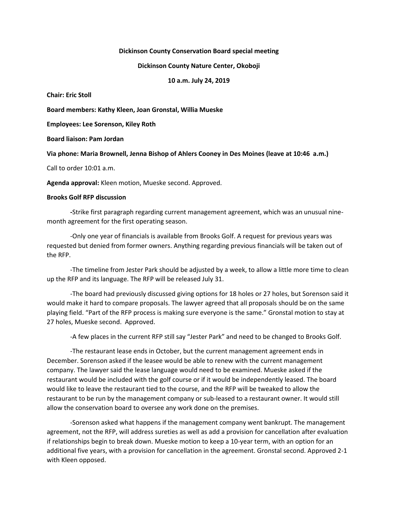## **Dickinson County Conservation Board special meeting**

## **Dickinson County Nature Center, Okoboji**

**10 a.m. July 24, 2019**

**Chair: Eric Stoll**

**Board members: Kathy Kleen, Joan Gronstal, Willia Mueske**

**Employees: Lee Sorenson, Kiley Roth**

**Board liaison: Pam Jordan**

**Via phone: Maria Brownell, Jenna Bishop of Ahlers Cooney in Des Moines (leave at 10:46 a.m.)**

Call to order 10:01 a.m.

**Agenda approval:** Kleen motion, Mueske second. Approved.

## **Brooks Golf RFP discussion**

**-**Strike first paragraph regarding current management agreement, which was an unusual ninemonth agreement for the first operating season.

-Only one year of financials is available from Brooks Golf. A request for previous years was requested but denied from former owners. Anything regarding previous financials will be taken out of the RFP.

-The timeline from Jester Park should be adjusted by a week, to allow a little more time to clean up the RFP and its language. The RFP will be released July 31.

-The board had previously discussed giving options for 18 holes or 27 holes, but Sorenson said it would make it hard to compare proposals. The lawyer agreed that all proposals should be on the same playing field. "Part of the RFP process is making sure everyone is the same." Gronstal motion to stay at 27 holes, Mueske second. Approved.

-A few places in the current RFP still say "Jester Park" and need to be changed to Brooks Golf.

-The restaurant lease ends in October, but the current management agreement ends in December. Sorenson asked if the leasee would be able to renew with the current management company. The lawyer said the lease language would need to be examined. Mueske asked if the restaurant would be included with the golf course or if it would be independently leased. The board would like to leave the restaurant tied to the course, and the RFP will be tweaked to allow the restaurant to be run by the management company or sub-leased to a restaurant owner. It would still allow the conservation board to oversee any work done on the premises.

-Sorenson asked what happens if the management company went bankrupt. The management agreement, not the RFP, will address sureties as well as add a provision for cancellation after evaluation if relationships begin to break down. Mueske motion to keep a 10-year term, with an option for an additional five years, with a provision for cancellation in the agreement. Gronstal second. Approved 2-1 with Kleen opposed.